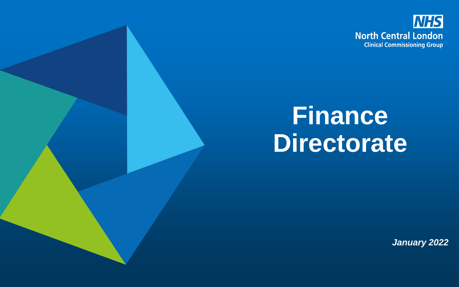

## **Finance Directorate**

*January 2022*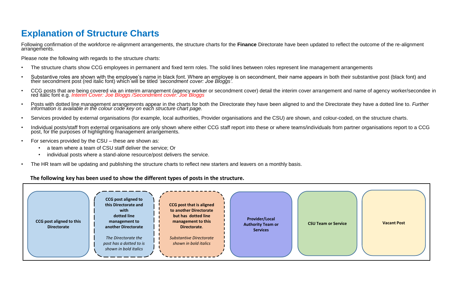## **Explanation of Structure Charts**

Following confirmation of the workforce re-alignment arrangements, the structure charts for the **Finance** Directorate have been updated to reflect the outcome of the re-alignment arrangements.

Please note the following with regards to the structure charts:

- The structure charts show CCG employees in permanent and fixed term roles. The solid lines between roles represent line management arrangements
- Substantive roles are shown with the employee's name in black font. Where an employee is on secondment, their name appears in both their substantive post (black font) and their secondment post (black font) and their seco
- CCG posts that are being covered via an interim arrangement (agency worker or secondment cover) detail the interim cover arrangement and name of agency worker/secondee in red italic font e.g. *Interim Cover: Joe Bloggs /Secondment cover: Joe Bloggs*
- Posts with dotted line management arrangements appear in the charts for both the Directorate they have been aligned to and the Directorate they have a dotted line to. Further<br>information is available in the colour code k
- Services provided by external organisations (for example, local authorities, Provider organisations and the CSU) are shown, and colour-coded, on the structure charts.
- Individual posts/staff from external organisations are only shown where either CCG staff report into these or where teams/individuals from partner organisations report to a CCG post, for the purposes of highlighting management arrangements.
- For services provided by the CSU these are shown as:
	- a team where a team of CSU staff deliver the service; Or
	- individual posts where a stand-alone resource/post delivers the service.
- The HR team will be updating and publishing the structure charts to reflect new starters and leavers on a monthly basis.

## **The following key has been used to show the different types of posts in the structure.**

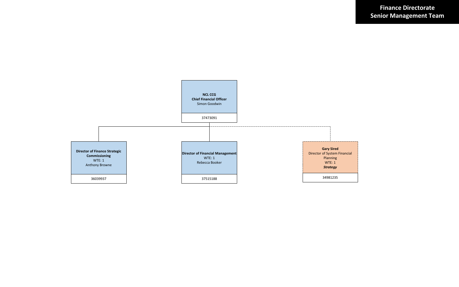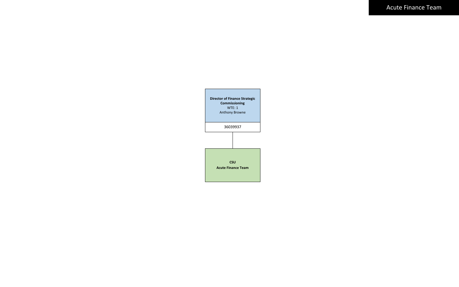Acute Finance Team

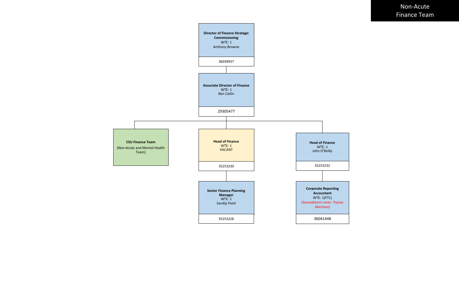Non-Acute Finance Team

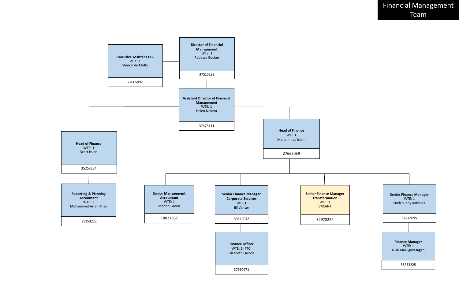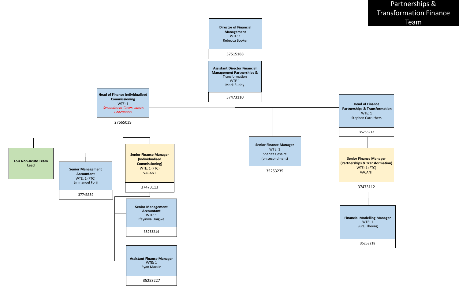Partnerships & Transformation Finance Team

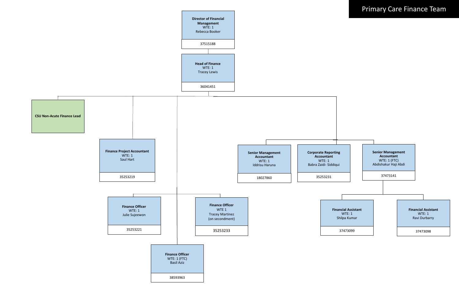